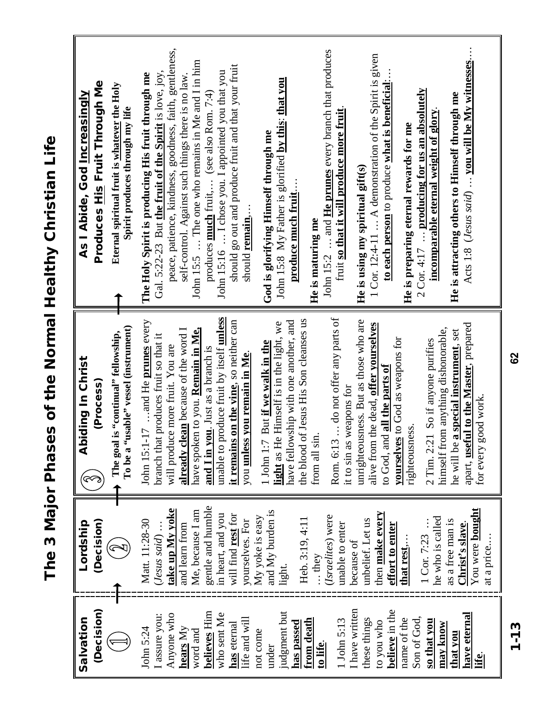| )<br>:                                 |
|----------------------------------------|
| $\frac{1}{2}$                          |
| ĵ<br>Pallt∩<br>$\frac{1}{1}$<br>י<br>ו |
|                                        |
| hases of the                           |
|                                        |
| j                                      |
| ד בם<br>ב<br>$\overline{\phantom{a}}$  |

| Produces His Fruit Through Me<br>Eternal spiritual fruit is whatever the Holy<br>As I Abide, God Increasingly<br>Spirit produces through my life | peace, patience, kindness, goodness, faith, gentleness,<br>John 15:2  and <b>He prunes</b> every branch that produces<br>Acts 1:8 (Jesus said)  you will be My witnesses<br>1 Cor. 12:4-11  A demonstration of the Spirit is given<br>John 15:5  The one who remains in Me and I in him<br>should go out and produce fruit and that your fruit<br>John 15:16  I chose you. I appointed you that you<br>Gal. 5:22-23 But the fruit of the Spirit is love, joy,<br>The Holy Spirit is producing His fruit through me<br>self-control. Against such things there is no law<br>John 15:8 My Father is glorified by this: that you<br>to each person to produce what is beneficial:<br>$2$ Cor. 4:17  producing for us an absolutely<br>He is attracting others to Himself through me<br>produces <b>much</b> fruit, (see also Rom. 7:4)<br>fruit so that it will produce more fruit<br>incomparable eternal weight of glory<br>He is preparing eternal rewards for me<br>God is glorifying Himself through me<br>He is using my spiritual gift(s)<br>produce much fruit.<br>should remain<br>He is maturing me |
|--------------------------------------------------------------------------------------------------------------------------------------------------|------------------------------------------------------------------------------------------------------------------------------------------------------------------------------------------------------------------------------------------------------------------------------------------------------------------------------------------------------------------------------------------------------------------------------------------------------------------------------------------------------------------------------------------------------------------------------------------------------------------------------------------------------------------------------------------------------------------------------------------------------------------------------------------------------------------------------------------------------------------------------------------------------------------------------------------------------------------------------------------------------------------------------------------------------------------------------------------------------------|
| To be a "usable" vessel (instrument)<br>The goal is "continual" fellowship,<br>Abiding In Christ<br>(Process)                                    | unable to produce fruit by itself unless<br>do not offer any parts of<br>the blood of Jesus His Son cleanses us<br>unrighteousness. But as those who are<br>it remains on the vine, so neither can<br>John 15:1-17 and He prunes every<br>have fellowship with one another, and<br>light as He Himself is in the light, we<br>alive from the dead, offer yourselves<br>apart, useful to the Master, prepared<br>have spoken to you. Remain in Me,<br>already clean because of the word I<br>himself from anything dishonorable,<br>he will be a special instrument, set<br>branch that produces fruit so that it<br>yourselves to God as weapons for<br>2 Tim. 2:21 So if anyone purifies<br>But if we walk in the<br>will produce more fruit. You are<br>and I in you. Just as a branch is<br>you unless you remain in Me.<br>to God, and all the parts of<br>it to sin as weapons for<br>for every good work.<br>righteousness.<br>from all sin<br>John 1:7<br>Rom. 6:13                                                                                                                                 |
| Lordship<br>(Decision)<br>$\sum \limits_{i=1}^n$                                                                                                 | gentle and humble<br><u>take up My yoke</u><br>You were <b>bought</b><br>Me, because I am<br>and My burden is<br>then make every<br>in heart, and you<br>will find rest for<br>(Israelites) were<br>My yoke is easy<br>he who is called<br>Heb. 3:19, 4:11<br>unbelief. Let us<br>Matt. 11:28-30<br>yourselves. For<br>as a free man is<br>unable to enter<br>effort to enter<br>and learn from<br>Christ's slave<br>$( Jesus \, said)$ .<br>1 Cor. 7:23<br>at a price<br>that rest,<br>because of<br>they<br>light.                                                                                                                                                                                                                                                                                                                                                                                                                                                                                                                                                                                       |
| (Decision)<br>Salvation                                                                                                                          | I have written<br>believe in the<br><b>believes</b> Him<br>judgment but<br>who sent Me<br>have eternal<br>I assure you:<br>Anyone who<br>Son of God,<br>life and will<br>these things<br>name of the<br>from death<br>1 John 5:13<br>so that you<br>to you who<br>has passed<br>has eternal<br>may know<br>John 5:24<br>hears $Mv$<br>word and<br>not come<br>that you<br><u>to life.</u><br>under<br><u>ife</u>                                                                                                                                                                                                                                                                                                                                                                                                                                                                                                                                                                                                                                                                                           |

**62**

1-13